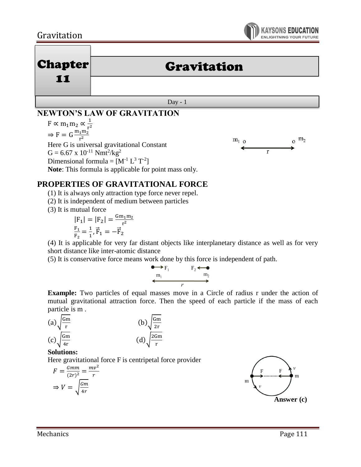# Gravitation



| <b>Chapter</b><br>11 | <b>Gravitation</b> |
|----------------------|--------------------|
|                      |                    |
| Day -                |                    |

# **NEWTON'S LAW OF GRAVITATION**

F  $\propto$  m<sub>1</sub>m<sub>2</sub>  $\propto \frac{1}{r^2}$ r 2  $\Rightarrow$  F = G $\frac{m_1 m_2^2}{m_1^2}$ r 2 Here G is universal gravitational Constant  $G = 6.67 \times 10^{-11}$  Nmt<sup>2</sup>/kg<sup>2</sup> Dimensional formula =  $[M^{-1} L^3 T^{-2}]$ **Note**: This formula is applicable for point mass only.



### **PROPERTIES OF GRAVITATIONAL FORCE**

(1) It is always only attraction type force never repel.

(2) It is independent of medium between particles

(3) It is mutual force

$$
|F_1| = |F_2| = \frac{Gm_1m_2}{r^2}
$$

$$
\frac{F_1}{F_2} = \frac{1}{1}, \vec{F}_1 = -\vec{F}_2
$$

(4) It is applicable for very far distant objects like interplanetary distance as well as for very short distance like inter-atomic distance

(5) It is conservative force means work done by this force is independent of path.



**Example:** Two particles of equal masses move in a Circle of radius r under the action of mutual gravitational attraction force. Then the speed of each particle if the mass of each particle is m .

(a) 
$$
\sqrt{\frac{Gm}{r}}
$$
  
\n(b)  $\sqrt{\frac{Gm}{2r}}$   
\n(c)  $\sqrt{\frac{Gm}{4r}}$   
\n(d)  $\sqrt{\frac{2Gm}{r}}$ 

#### **Solutions:**

Here gravitational force F is centripetal force provider

$$
F = \frac{Gmm}{(2r)^2} = \frac{mv^2}{r}
$$

$$
\Rightarrow V = \sqrt{\frac{Gm}{4r}}
$$

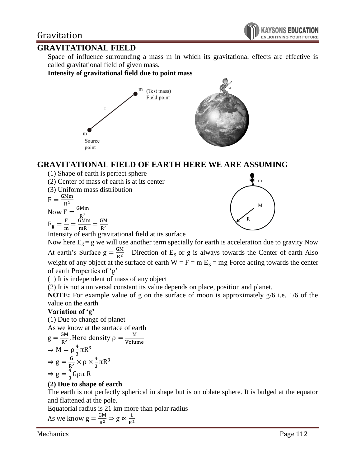## Gravitation

### **GRAVITATIONAL FIELD**

Space of influence surrounding a mass m in which its gravitational effects are effective is called gravitational field of given mass.

**Intensity of gravitational field due to point mass**



### **GRAVITATIONAL FIELD OF EARTH HERE WE ARE ASSUMING**

(1) Shape of earth is perfect sphere

(2) Center of mass of earth is at its center

(3) Uniform mass distribution

$$
F = \frac{GMm}{R^2}
$$

 $R^2$ Now  $F = \frac{GMm}{R^2}$ 

 $R^2$  $E_{\rm g} = \frac{F}{m}$  $\frac{F}{m} = \frac{GMm}{mR^2} = \frac{GM}{R^2}$  $R^2$ 



Intensity of earth gravitational field at its surface

Now here  $E_g = g$  we will use another term specially for earth is acceleration due to gravity Now At earth's Surface  $g = \frac{GM}{R^2}$  $\frac{G/M}{R^2}$  Direction of E<sub>g</sub> or g is always towards the Center of earth Also weight of any object at the surface of earth  $W = F = m E<sub>g</sub> = mg$  Force acting towards the center of earth Properties of 'g'

(1) It is independent of mass of any object

(2) It is not a universal constant its value depends on place, position and planet.

**NOTE:** For example value of g on the surface of moon is approximately g/6 i.e. 1/6 of the value on the earth

#### **Variation of 'g'**

(1) Due to change of planet As we know at the surface of earth

As we know at the surface of earth  
\n
$$
g = \frac{GM}{R^2}
$$
, Here density  $\rho = \frac{M}{Volume}$   
\n
$$
\Rightarrow M = \rho \frac{4}{3} \pi R^3
$$
  
\n
$$
\Rightarrow g = \frac{G}{R^2} \times \rho \times \frac{4}{3} \pi R^3
$$
  
\n
$$
\Rightarrow g = \frac{4}{3} G \rho \pi R
$$

#### **(2) Due to shape of earth**

The earth is not perfectly spherical in shape but is on oblate sphere. It is bulged at the equator and flattened at the pole.

Equatorial radius is 21 km more than polar radius

As we know  $g = \frac{GM}{R^2} \Rightarrow g \propto \frac{1}{R^2}$  $R^2$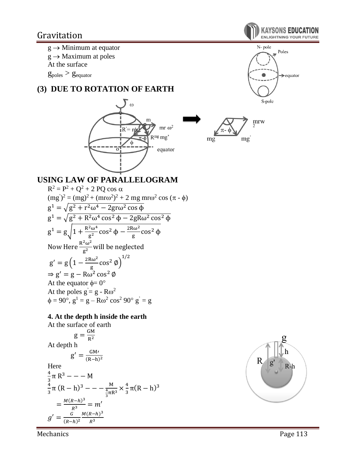

 $g \rightarrow$  Maximum at poles

At the surface

 $g_{poles} > g_{equator}$ 

## **(3) DUE TO ROTATION OF EARTH**





**KAYSONS EDUCA ENLIGHTNING YOUR FUTURE** 



### **USING LAW OF PARALLELOGRAM**

 $R^2 = P^2 + Q^2 + 2 PQ \cos \alpha$  $(mg')^2 = (mg)^2 + (mro^2)^2 + 2 mg mro^2 cos (\pi - \phi)$  $g^1 = \sqrt{g^2 + r^2 \omega^4 - 2gr \omega^2 \cos \phi}$  $g^1 = \sqrt{g^2 + R^2} \omega^4 \cos^2 \phi - 2gR\omega^2 \cos^2 \phi$  $g^1 = g\left(1 + \frac{R^2\omega^4}{r^2}\right)$  $\frac{e^{2}ω^{4}}{g^{2}}cos^{2} φ - \frac{2Rω^{2}}{g}$  $\frac{10^{2}}{g}$  cos<sup>2</sup> φ Now Here  $\frac{R^2\omega^2}{r^2}$  $\frac{1}{g^2}$  will be neglected  $g' = g \left( 1 - \frac{2R\omega^2}{g}\right)$  $\frac{8\omega^2}{g}$  cos<sup>2</sup>  $\phi$ )<sup>1/2</sup>  $\Rightarrow$  g' = g – Rω<sup>2</sup> cos<sup>2</sup> Ø At the equator  $\phi = 0^{\circ}$ At the poles  $g = g - R\omega^2$  $\phi = 90^{\circ}, g^1 = g - R\omega^2 \cos^2 90^{\circ} g' = g$ 

#### **4. At the depth h inside the earth**

At the surface of earth

$$
g = \frac{GM}{R^2}
$$
  
At depth h  

$$
g' = \frac{GM'}{(R-h)^2}
$$

 $H_{\alpha}$ 

Here  
\n
$$
\frac{4}{3}\pi R^3 = -M
$$
\n
$$
\frac{4}{3}\pi (R-h)^3 = -\frac{M}{\frac{4}{3}\pi R^3} \times \frac{4}{3}\pi (R-h)^3
$$
\n
$$
= \frac{M(R-h)^3}{R^3} = m'
$$
\n
$$
g' = \frac{G}{(R-h)^2} \frac{M(R-h)^3}{R^3}
$$



Mechanics Page 113